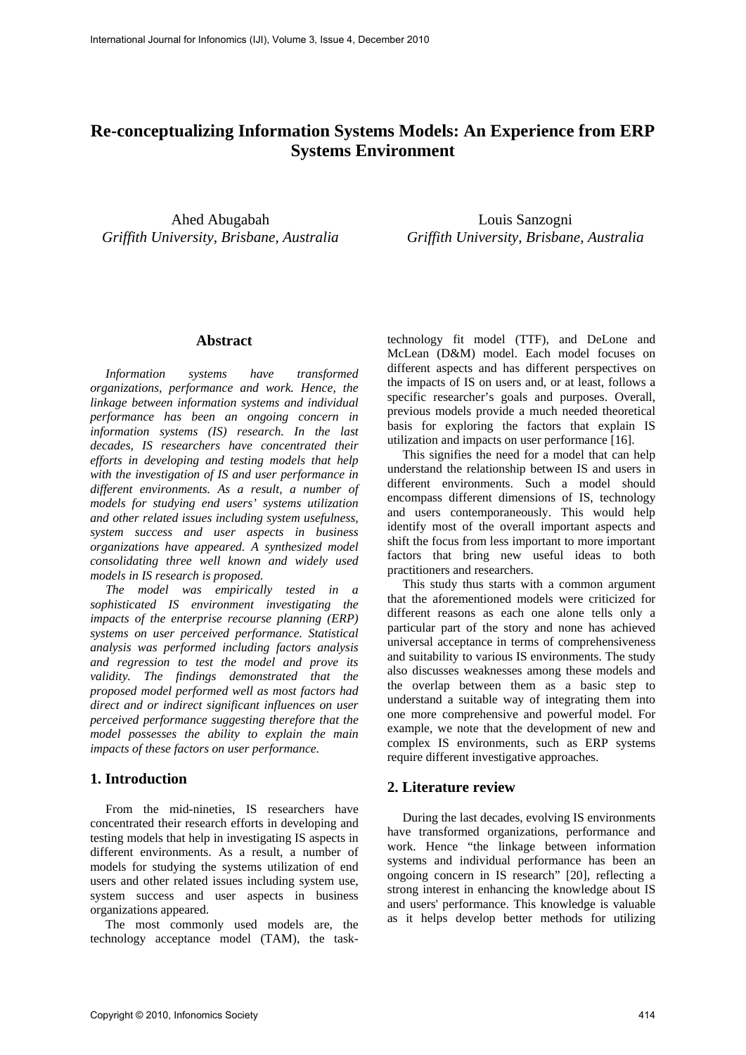# **Re-conceptualizing Information Systems Models: An Experience from ERP Systems Environment**

Ahed Abugabah *Griffith University, Brisbane, Australia*

Louis Sanzogni *Griffith University, Brisbane, Australia*

#### **Abstract**

*Information systems have transformed organizations, performance and work. Hence, the linkage between information systems and individual performance has been an ongoing concern in information systems (IS) research. In the last decades, IS researchers have concentrated their efforts in developing and testing models that help with the investigation of IS and user performance in different environments. As a result, a number of models for studying end users' systems utilization and other related issues including system usefulness, system success and user aspects in business organizations have appeared. A synthesized model consolidating three well known and widely used models in IS research is proposed.* 

*The model was empirically tested in a sophisticated IS environment investigating the impacts of the enterprise recourse planning (ERP) systems on user perceived performance. Statistical analysis was performed including factors analysis and regression to test the model and prove its validity. The findings demonstrated that the proposed model performed well as most factors had direct and or indirect significant influences on user perceived performance suggesting therefore that the model possesses the ability to explain the main impacts of these factors on user performance.* 

# **1. Introduction**

From the mid-nineties, IS researchers have concentrated their research efforts in developing and testing models that help in investigating IS aspects in different environments. As a result, a number of models for studying the systems utilization of end users and other related issues including system use, system success and user aspects in business organizations appeared.

The most commonly used models are, the technology acceptance model (TAM), the task-

technology fit model (TTF), and DeLone and McLean (D&M) model. Each model focuses on different aspects and has different perspectives on the impacts of IS on users and, or at least, follows a specific researcher's goals and purposes. Overall, previous models provide a much needed theoretical basis for exploring the factors that explain IS utilization and impacts on user performance [16].

This signifies the need for a model that can help understand the relationship between IS and users in different environments. Such a model should encompass different dimensions of IS, technology and users contemporaneously. This would help identify most of the overall important aspects and shift the focus from less important to more important factors that bring new useful ideas to both practitioners and researchers.

This study thus starts with a common argument that the aforementioned models were criticized for different reasons as each one alone tells only a particular part of the story and none has achieved universal acceptance in terms of comprehensiveness and suitability to various IS environments. The study also discusses weaknesses among these models and the overlap between them as a basic step to understand a suitable way of integrating them into one more comprehensive and powerful model. For example, we note that the development of new and complex IS environments, such as ERP systems require different investigative approaches.

#### **2. Literature review**

During the last decades, evolving IS environments have transformed organizations, performance and work. Hence "the linkage between information systems and individual performance has been an ongoing concern in IS research" [20], reflecting a strong interest in enhancing the knowledge about IS and users' performance. This knowledge is valuable as it helps develop better methods for utilizing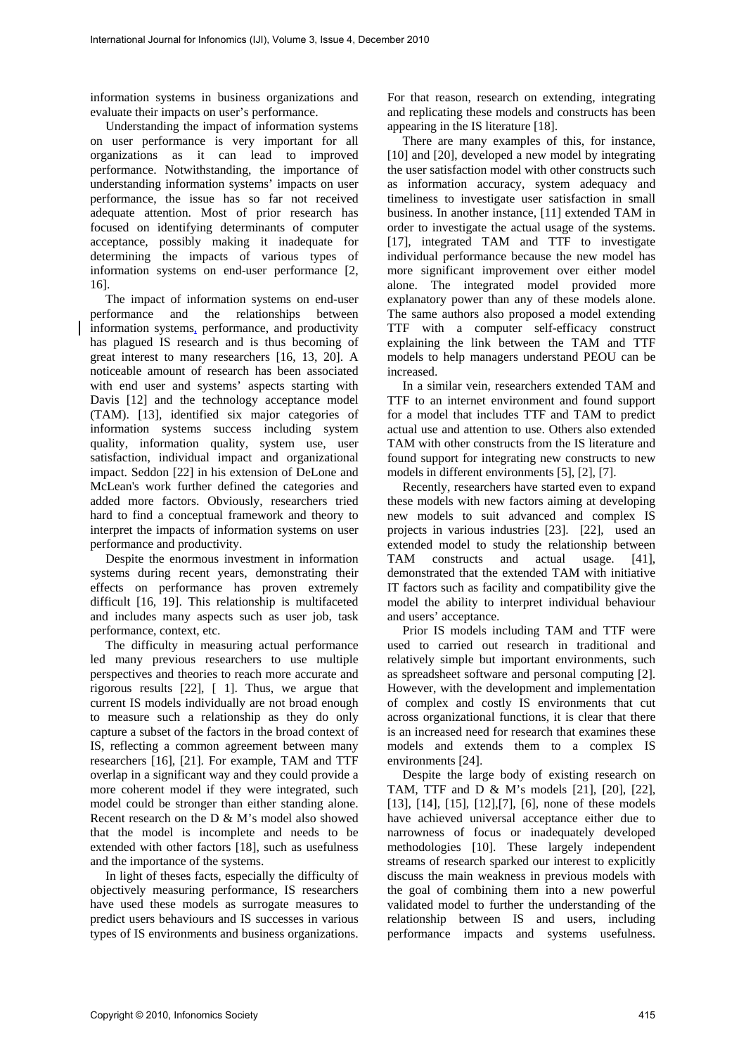information systems in business organizations and evaluate their impacts on user's performance.

Understanding the impact of information systems on user performance is very important for all organizations as it can lead to improved performance. Notwithstanding, the importance of understanding information systems' impacts on user performance, the issue has so far not received adequate attention. Most of prior research has focused on identifying determinants of computer acceptance, possibly making it inadequate for determining the impacts of various types of information systems on end-user performance [2, 16].

The impact of information systems on end-user performance and the relationships between information systems, performance, and productivity has plagued IS research and is thus becoming of great interest to many researchers [16, 13, 20]. A noticeable amount of research has been associated with end user and systems' aspects starting with Davis [12] and the technology acceptance model (TAM). [13], identified six major categories of information systems success including system quality, information quality, system use, user satisfaction, individual impact and organizational impact. Seddon [22] in his extension of DeLone and McLean's work further defined the categories and added more factors. Obviously, researchers tried hard to find a conceptual framework and theory to interpret the impacts of information systems on user performance and productivity.

Despite the enormous investment in information systems during recent years, demonstrating their effects on performance has proven extremely difficult [16, 19]. This relationship is multifaceted and includes many aspects such as user job, task performance, context, etc.

The difficulty in measuring actual performance led many previous researchers to use multiple perspectives and theories to reach more accurate and rigorous results [22], [ 1]. Thus, we argue that current IS models individually are not broad enough to measure such a relationship as they do only capture a subset of the factors in the broad context of IS, reflecting a common agreement between many researchers [16], [21]. For example, TAM and TTF overlap in a significant way and they could provide a more coherent model if they were integrated, such model could be stronger than either standing alone. Recent research on the D  $\&$  M's model also showed that the model is incomplete and needs to be extended with other factors [18], such as usefulness and the importance of the systems.

In light of theses facts, especially the difficulty of objectively measuring performance, IS researchers have used these models as surrogate measures to predict users behaviours and IS successes in various types of IS environments and business organizations. For that reason, research on extending, integrating and replicating these models and constructs has been appearing in the IS literature [18].

There are many examples of this, for instance, [10] and [20], developed a new model by integrating the user satisfaction model with other constructs such as information accuracy, system adequacy and timeliness to investigate user satisfaction in small business. In another instance, [11] extended TAM in order to investigate the actual usage of the systems. [17], integrated TAM and TTF to investigate individual performance because the new model has more significant improvement over either model alone. The integrated model provided more explanatory power than any of these models alone. The same authors also proposed a model extending TTF with a computer self-efficacy construct explaining the link between the TAM and TTF models to help managers understand PEOU can be increased.

In a similar vein, researchers extended TAM and TTF to an internet environment and found support for a model that includes TTF and TAM to predict actual use and attention to use. Others also extended TAM with other constructs from the IS literature and found support for integrating new constructs to new models in different environments [5], [2], [7].

Recently, researchers have started even to expand these models with new factors aiming at developing new models to suit advanced and complex IS projects in various industries [23]. [22], used an extended model to study the relationship between TAM constructs and actual usage. [41], demonstrated that the extended TAM with initiative IT factors such as facility and compatibility give the model the ability to interpret individual behaviour and users' acceptance.

Prior IS models including TAM and TTF were used to carried out research in traditional and relatively simple but important environments, such as spreadsheet software and personal computing [2]. However, with the development and implementation of complex and costly IS environments that cut across organizational functions, it is clear that there is an increased need for research that examines these models and extends them to a complex IS environments [24].

Despite the large body of existing research on TAM, TTF and D & M's models [21], [20], [22], [13], [14], [15], [12],[7], [6], none of these models have achieved universal acceptance either due to narrowness of focus or inadequately developed methodologies [10]. These largely independent streams of research sparked our interest to explicitly discuss the main weakness in previous models with the goal of combining them into a new powerful validated model to further the understanding of the relationship between IS and users, including performance impacts and systems usefulness.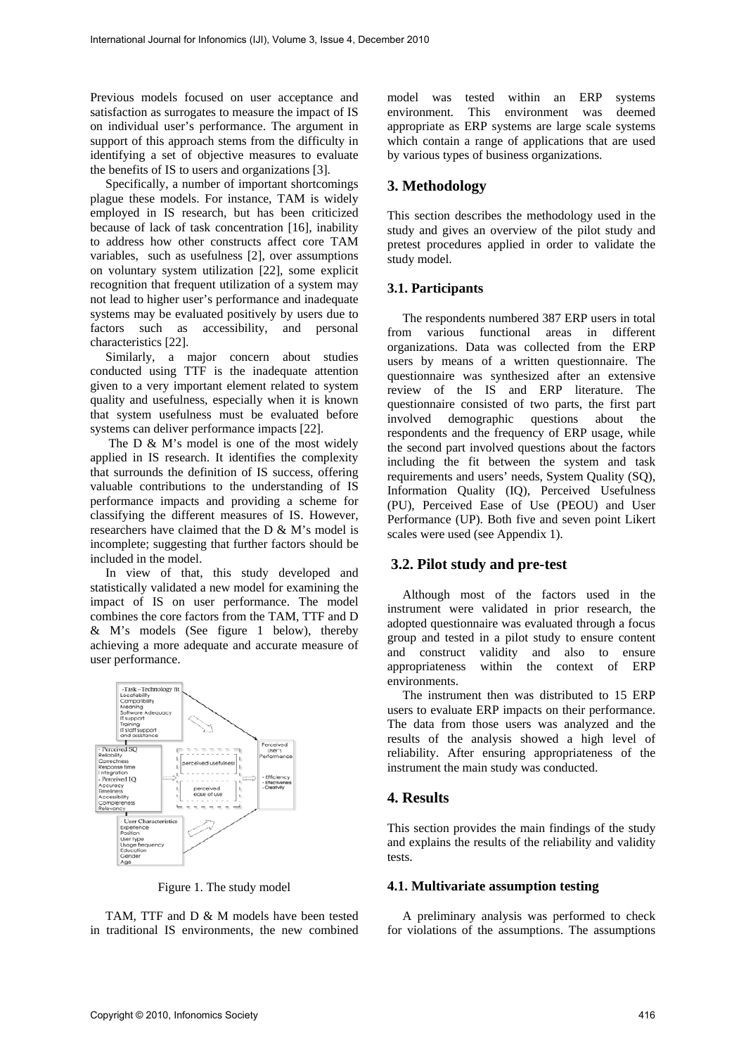Previous models focused on user acceptance and satisfaction as surrogates to measure the impact of IS on individual user's performance. The argument in support of this approach stems from the difficulty in identifying a set of objective measures to evaluate the benefits of IS to users and organizations [3].

Specifically, a number of important shortcomings plague these models. For instance, TAM is widely employed in IS research, but has been criticized because of lack of task concentration [16], inability to address how other constructs affect core TAM variables, such as usefulness [2], over assumptions on voluntary system utilization [22], some explicit recognition that frequent utilization of a system may not lead to higher user's performance and inadequate systems may be evaluated positively by users due to factors such as accessibility, and personal characteristics [22].

Similarly, a major concern about studies conducted using TTF is the inadequate attention given to a very important element related to system quality and usefulness, especially when it is known that system usefulness must be evaluated before systems can deliver performance impacts [22].

The D & M's model is one of the most widely applied in IS research. It identifies the complexity that surrounds the definition of IS success, offering valuable contributions to the understanding of IS performance impacts and providing a scheme for classifying the different measures of IS. However, researchers have claimed that the D & M's model is incomplete; suggesting that further factors should be included in the model.

In view of that, this study developed and statistically validated a new model for examining the impact of IS on user performance. The model combines the core factors from the TAM, TTF and D & M's models (See figure 1 below), thereby achieving a more adequate and accurate measure of user performance.



Figure 1. The study model

TAM. TTF and D & M models have been tested in traditional IS environments, the new combined

model was tested within an ERP systems environment. This environment was deemed appropriate as ERP systems are large scale systems which contain a range of applications that are used by various types of business organizations.

### **3. Methodology**

This section describes the methodology used in the study and gives an overview of the pilot study and pretest procedures applied in order to validate the study model.

#### **3.1. Participants**

The respondents numbered 387 ERP users in total from various functional areas in different organizations. Data was collected from the ERP users by means of a written questionnaire. The questionnaire was synthesized after an extensive review of the IS and ERP literature. The questionnaire consisted of two parts, the first part involved demographic questions about the respondents and the frequency of ERP usage, while the second part involved questions about the factors including the fit between the system and task requirements and users' needs, System Quality (SQ), Information Quality (IQ), Perceived Usefulness (PU), Perceived Ease of Use (PEOU) and User Performance (UP). Both five and seven point Likert scales were used (see Appendix 1).

#### **3.2. Pilot study and pre-test**

Although most of the factors used in the instrument were validated in prior research, the adopted questionnaire was evaluated through a focus group and tested in a pilot study to ensure content and construct validity and also to ensure appropriateness within the context of ERP environments.

The instrument then was distributed to 15 ERP users to evaluate ERP impacts on their performance. The data from those users was analyzed and the results of the analysis showed a high level of reliability. After ensuring appropriateness of the instrument the main study was conducted.

#### **4. Results**

This section provides the main findings of the study and explains the results of the reliability and validity tests.

#### **4.1. Multivariate assumption testing**

A preliminary analysis was performed to check for violations of the assumptions. The assumptions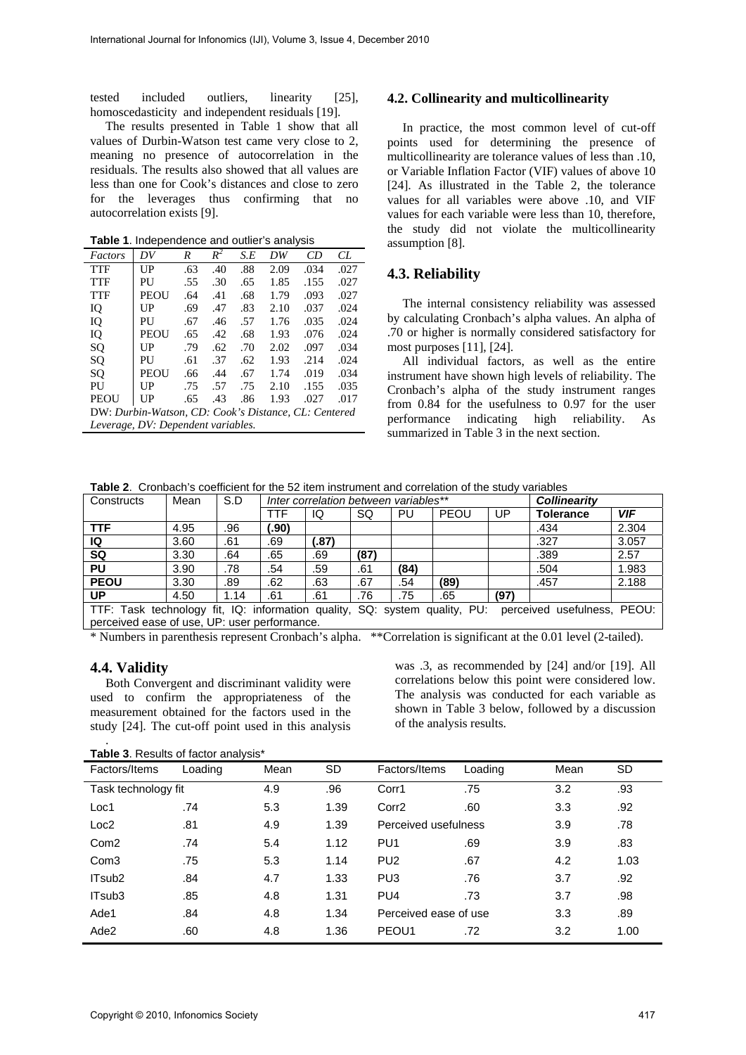tested included outliers, linearity [25], homoscedasticity and independent residuals [19].

The results presented in Table 1 show that all values of Durbin-Watson test came very close to 2, meaning no presence of autocorrelation in the residuals. The results also showed that all values are less than one for Cook's distances and close to zero for the leverages thus confirming that no autocorrelation exists [9].

**Table 1**. Independence and outlier's analysis

| Factors                                              | DV   | R   | $R^2$ | S.E | DW   | CD   | CL   |  |
|------------------------------------------------------|------|-----|-------|-----|------|------|------|--|
| TTF                                                  | UP   | .63 | .40   | .88 | 2.09 | .034 | .027 |  |
| TTF                                                  | PU   | .55 | .30   | .65 | 1.85 | .155 | .027 |  |
| TTF                                                  | PEOU | .64 | .41   | .68 | 1.79 | .093 | .027 |  |
| IQ                                                   | UP   | .69 | .47   | .83 | 2.10 | .037 | .024 |  |
| IQ                                                   | PU   | .67 | .46   | .57 | 1.76 | .035 | .024 |  |
| IQ                                                   | PEOU | .65 | .42   | .68 | 1.93 | .076 | .024 |  |
| SQ                                                   | UP   | .79 | .62   | .70 | 2.02 | .097 | .034 |  |
| SQ                                                   | PU   | .61 | .37   | .62 | 1.93 | .214 | .024 |  |
| SQ                                                   | PEOU | .66 | .44   | .67 | 1.74 | .019 | .034 |  |
| PU                                                   | UP   | .75 | .57   | .75 | 2.10 | .155 | .035 |  |
| <b>PEOU</b>                                          | UP   | .65 | .43   | .86 | 1.93 | .027 | .017 |  |
| DW: Durbin-Watson, CD: Cook's Distance, CL: Centered |      |     |       |     |      |      |      |  |
| Leverage, DV: Dependent variables.                   |      |     |       |     |      |      |      |  |

#### **4.2. Collinearity and multicollinearity**

In practice, the most common level of cut-off points used for determining the presence of multicollinearity are tolerance values of less than .10, or Variable Inflation Factor (VIF) values of above 10 [24]. As illustrated in the Table 2, the tolerance values for all variables were above .10, and VIF values for each variable were less than 10, therefore, the study did not violate the multicollinearity assumption [8].

#### **4.3. Reliability**

The internal consistency reliability was assessed by calculating Cronbach's alpha values. An alpha of .70 or higher is normally considered satisfactory for most purposes [11], [24].

All individual factors, as well as the entire instrument have shown high levels of reliability. The Cronbach's alpha of the study instrument ranges from 0.84 for the usefulness to 0.97 for the user performance indicating high reliability. As summarized in Table 3 in the next section.

**Table 2**. Cronbach's coefficient for the 52 item instrument and correlation of the study variables

| Constructs                                                                                             | Mean | S.D  |       | Inter correlation between variables** |      |      |      |      | <b>Collinearity</b> |            |
|--------------------------------------------------------------------------------------------------------|------|------|-------|---------------------------------------|------|------|------|------|---------------------|------------|
|                                                                                                        |      |      | TTF   | IQ                                    | SQ   | PU   | PEOU | UP   | <b>Tolerance</b>    | <b>VIF</b> |
| <b>TTF</b>                                                                                             | 4.95 | .96  | (.90) |                                       |      |      |      |      | .434                | 2.304      |
| IQ                                                                                                     | 3.60 | .61  | .69   | (.87)                                 |      |      |      |      | .327                | 3.057      |
| $\overline{SQ}$                                                                                        | 3.30 | .64  | .65   | .69                                   | (87) |      |      |      | .389                | 2.57       |
| <b>PU</b>                                                                                              | 3.90 | .78  | .54   | .59                                   | .61  | (84) |      |      | .504                | 1.983      |
| <b>PEOU</b>                                                                                            | 3.30 | .89  | .62   | .63                                   | .67  | .54  | (89) |      | .457                | 2.188      |
| UP                                                                                                     | 4.50 | 1.14 | .61   | .61                                   | .76  | .75  | .65  | (97) |                     |            |
| TTF: Task technology fit, IQ: information quality, SQ: system quality, PU: perceived usefulness, PEOU: |      |      |       |                                       |      |      |      |      |                     |            |
| perceived ease of use, UP: user performance.                                                           |      |      |       |                                       |      |      |      |      |                     |            |

\* Numbers in parenthesis represent Cronbach's alpha. \*\*Correlation is significant at the 0.01 level (2-tailed).

#### **4.4. Validity**

.

Both Convergent and discriminant validity were used to confirm the appropriateness of the measurement obtained for the factors used in the study [24]. The cut-off point used in this analysis

was .3, as recommended by [24] and/or [19]. All correlations below this point were considered low. The analysis was conducted for each variable as shown in Table 3 below, followed by a discussion of the analysis results.

**Table 3**. Results of factor analysis\*

| Factors/Items       | Loading | Mean | SD.  | Factors/Items         | Loading | Mean | SD.  |
|---------------------|---------|------|------|-----------------------|---------|------|------|
| Task technology fit |         | 4.9  | .96  | Corr1                 | .75     | 3.2  | .93  |
| Loc1                | .74     | 5.3  | 1.39 | Corr <sub>2</sub>     | .60     | 3.3  | .92  |
| Loc <sub>2</sub>    | .81     | 4.9  | 1.39 | Perceived usefulness  |         | 3.9  | .78  |
| Com <sub>2</sub>    | .74     | 5.4  | 1.12 | PU <sub>1</sub>       | .69     | 3.9  | .83  |
| Com <sub>3</sub>    | .75     | 5.3  | 1.14 | PU <sub>2</sub>       | .67     | 4.2  | 1.03 |
| ITsub <sub>2</sub>  | .84     | 4.7  | 1.33 | PU <sub>3</sub>       | .76     | 3.7  | .92  |
| IT <sub>sub</sub> 3 | .85     | 4.8  | 1.31 | PU <sub>4</sub>       | .73     | 3.7  | .98  |
| Ade1                | .84     | 4.8  | 1.34 | Perceived ease of use |         | 3.3  | .89  |
| Ade2                | .60     | 4.8  | 1.36 | PEOU1                 | .72     | 3.2  | 1.00 |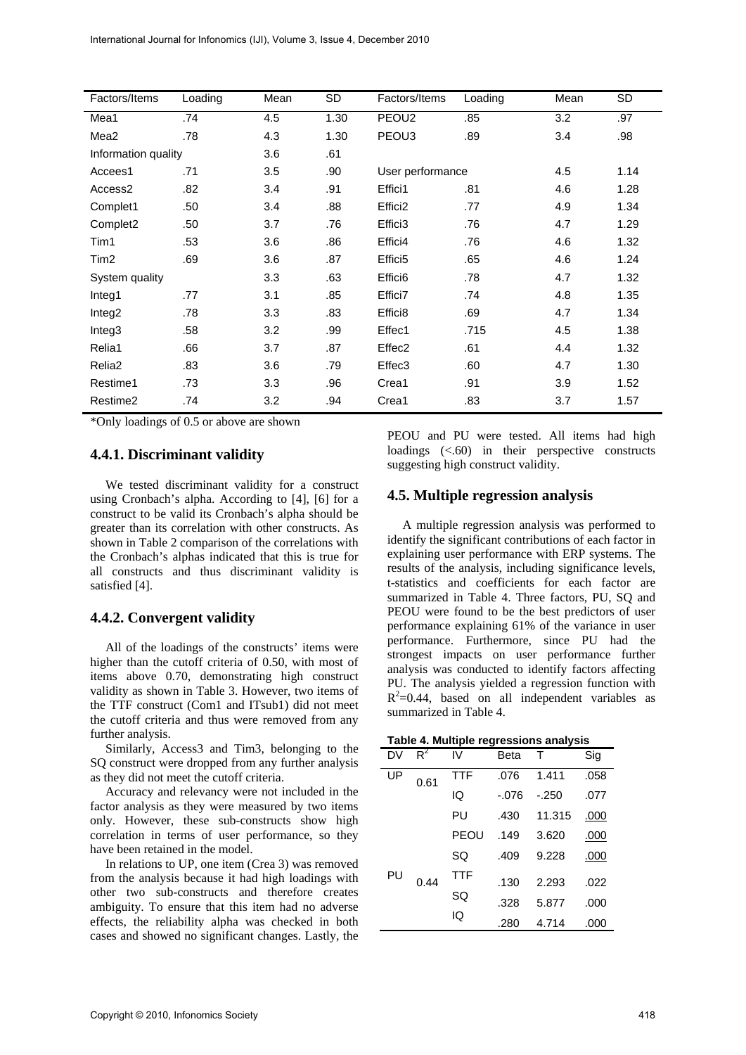| Factors/Items        | Loading | Mean | <b>SD</b> | Factors/Items       | Loading | Mean | <b>SD</b> |
|----------------------|---------|------|-----------|---------------------|---------|------|-----------|
| Mea1                 | .74     | 4.5  | 1.30      | PEOU <sub>2</sub>   | .85     | 3.2  | .97       |
| Mea <sub>2</sub>     | .78     | 4.3  | 1.30      | PEOU3               | .89     | 3.4  | .98       |
| Information quality  |         | 3.6  | .61       |                     |         |      |           |
| Accees1              | .71     | 3.5  | .90       | User performance    |         | 4.5  | 1.14      |
| Access2              | .82     | 3.4  | .91       | Effici1             | .81     | 4.6  | 1.28      |
| Complet1             | .50     | 3.4  | .88       | Effici <sub>2</sub> | .77     | 4.9  | 1.34      |
| Complet2             | .50     | 3.7  | .76       | Effici3             | .76     | 4.7  | 1.29      |
| Tim1                 | .53     | 3.6  | .86       | Effici4             | .76     | 4.6  | 1.32      |
| Tim2                 | .69     | 3.6  | .87       | Effici <sub>5</sub> | .65     | 4.6  | 1.24      |
| System quality       |         | 3.3  | .63       | Effici <sub>6</sub> | .78     | 4.7  | 1.32      |
| Integ1               | .77     | 3.1  | .85       | Effici7             | .74     | 4.8  | 1.35      |
| Integ2               | .78     | 3.3  | .83       | Effici <sub>8</sub> | .69     | 4.7  | 1.34      |
| Integ3               | .58     | 3.2  | .99       | Effec1              | .715    | 4.5  | 1.38      |
| Relia1               | .66     | 3.7  | .87       | Effec <sub>2</sub>  | .61     | 4.4  | 1.32      |
| Relia <sub>2</sub>   | .83     | 3.6  | .79       | Effec3              | .60     | 4.7  | 1.30      |
| Restime1             | .73     | 3.3  | .96       | Crea1               | .91     | 3.9  | 1.52      |
| Restime <sub>2</sub> | .74     | 3.2  | .94       | Crea1               | .83     | 3.7  | 1.57      |

\*Only loadings of 0.5 or above are shown

#### **4.4.1. Discriminant validity**

We tested discriminant validity for a construct using Cronbach's alpha. According to [4], [6] for a construct to be valid its Cronbach's alpha should be greater than its correlation with other constructs. As shown in Table 2 comparison of the correlations with the Cronbach's alphas indicated that this is true for all constructs and thus discriminant validity is satisfied [4].

#### **4.4.2. Convergent validity**

All of the loadings of the constructs' items were higher than the cutoff criteria of 0.50, with most of items above 0.70, demonstrating high construct validity as shown in Table 3. However, two items of the TTF construct (Com1 and ITsub1) did not meet the cutoff criteria and thus were removed from any further analysis.

Similarly, Access3 and Tim3, belonging to the SQ construct were dropped from any further analysis as they did not meet the cutoff criteria.

Accuracy and relevancy were not included in the factor analysis as they were measured by two items only. However, these sub-constructs show high correlation in terms of user performance, so they have been retained in the model.

In relations to UP, one item (Crea 3) was removed from the analysis because it had high loadings with other two sub-constructs and therefore creates ambiguity. To ensure that this item had no adverse effects, the reliability alpha was checked in both cases and showed no significant changes. Lastly, the PEOU and PU were tested. All items had high loadings (<.60) in their perspective constructs suggesting high construct validity.

#### **4.5. Multiple regression analysis**

A multiple regression analysis was performed to identify the significant contributions of each factor in explaining user performance with ERP systems. The results of the analysis, including significance levels, t-statistics and coefficients for each factor are summarized in Table 4. Three factors, PU, SO and PEOU were found to be the best predictors of user performance explaining 61% of the variance in user performance. Furthermore, since PU had the strongest impacts on user performance further analysis was conducted to identify factors affecting PU. The analysis yielded a regression function with  $R^2$ =0.44, based on all independent variables as summarized in Table 4.

| DV | $R^2$ | IV   | Beta    | T      | Sig  |
|----|-------|------|---------|--------|------|
| UP | 0.61  | TTF  | .076    | 1.411  | .058 |
|    |       | IQ   | $-.076$ | $-250$ | .077 |
|    |       | PU   | .430    | 11.315 | .000 |
|    |       | PEOU | .149    | 3.620  | .000 |
|    |       | SQ   | .409    | 9.228  | .000 |
| PU | 0.44  | TTF  | .130    | 2.293  | .022 |
|    |       | SQ   | .328    | 5.877  | .000 |
|    |       | IQ   | .280    | 4.714  | .000 |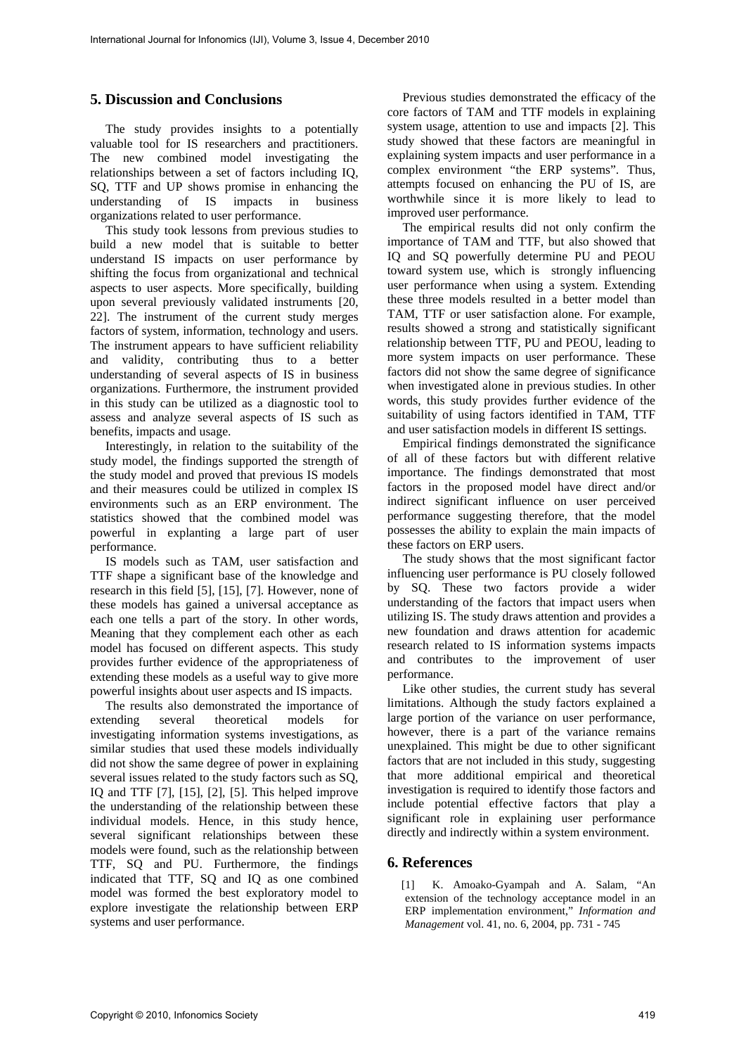# **5. Discussion and Conclusions**

The study provides insights to a potentially valuable tool for IS researchers and practitioners. The new combined model investigating the relationships between a set of factors including IQ, SQ, TTF and UP shows promise in enhancing the understanding of IS impacts in business organizations related to user performance.

This study took lessons from previous studies to build a new model that is suitable to better understand IS impacts on user performance by shifting the focus from organizational and technical aspects to user aspects. More specifically, building upon several previously validated instruments [20, 22]. The instrument of the current study merges factors of system, information, technology and users. The instrument appears to have sufficient reliability and validity, contributing thus to a better understanding of several aspects of IS in business organizations. Furthermore, the instrument provided in this study can be utilized as a diagnostic tool to assess and analyze several aspects of IS such as benefits, impacts and usage.

Interestingly, in relation to the suitability of the study model, the findings supported the strength of the study model and proved that previous IS models and their measures could be utilized in complex IS environments such as an ERP environment. The statistics showed that the combined model was powerful in explanting a large part of user performance.

IS models such as TAM, user satisfaction and TTF shape a significant base of the knowledge and research in this field [5], [15], [7]. However, none of these models has gained a universal acceptance as each one tells a part of the story. In other words, Meaning that they complement each other as each model has focused on different aspects. This study provides further evidence of the appropriateness of extending these models as a useful way to give more powerful insights about user aspects and IS impacts.

The results also demonstrated the importance of extending several theoretical models for investigating information systems investigations, as similar studies that used these models individually did not show the same degree of power in explaining several issues related to the study factors such as SQ, IQ and TTF [7], [15], [2], [5]. This helped improve the understanding of the relationship between these individual models. Hence, in this study hence, several significant relationships between these models were found, such as the relationship between TTF, SQ and PU. Furthermore, the findings indicated that TTF, SQ and IQ as one combined model was formed the best exploratory model to explore investigate the relationship between ERP systems and user performance.

Previous studies demonstrated the efficacy of the core factors of TAM and TTF models in explaining system usage, attention to use and impacts [2]. This study showed that these factors are meaningful in explaining system impacts and user performance in a complex environment "the ERP systems". Thus, attempts focused on enhancing the PU of IS, are worthwhile since it is more likely to lead to improved user performance.

The empirical results did not only confirm the importance of TAM and TTF, but also showed that IQ and SQ powerfully determine PU and PEOU toward system use, which is strongly influencing user performance when using a system. Extending these three models resulted in a better model than TAM, TTF or user satisfaction alone. For example, results showed a strong and statistically significant relationship between TTF, PU and PEOU, leading to more system impacts on user performance. These factors did not show the same degree of significance when investigated alone in previous studies. In other words, this study provides further evidence of the suitability of using factors identified in TAM, TTF and user satisfaction models in different IS settings.

Empirical findings demonstrated the significance of all of these factors but with different relative importance. The findings demonstrated that most factors in the proposed model have direct and/or indirect significant influence on user perceived performance suggesting therefore, that the model possesses the ability to explain the main impacts of these factors on ERP users.

The study shows that the most significant factor influencing user performance is PU closely followed by SQ. These two factors provide a wider understanding of the factors that impact users when utilizing IS. The study draws attention and provides a new foundation and draws attention for academic research related to IS information systems impacts and contributes to the improvement of user performance.

Like other studies, the current study has several limitations. Although the study factors explained a large portion of the variance on user performance, however, there is a part of the variance remains unexplained. This might be due to other significant factors that are not included in this study, suggesting that more additional empirical and theoretical investigation is required to identify those factors and include potential effective factors that play a significant role in explaining user performance directly and indirectly within a system environment.

# **6. References**

[1] K. Amoako-Gyampah and A. Salam, "An extension of the technology acceptance model in an ERP implementation environment," *Information and Management* vol. 41, no. 6, 2004, pp. 731 - 745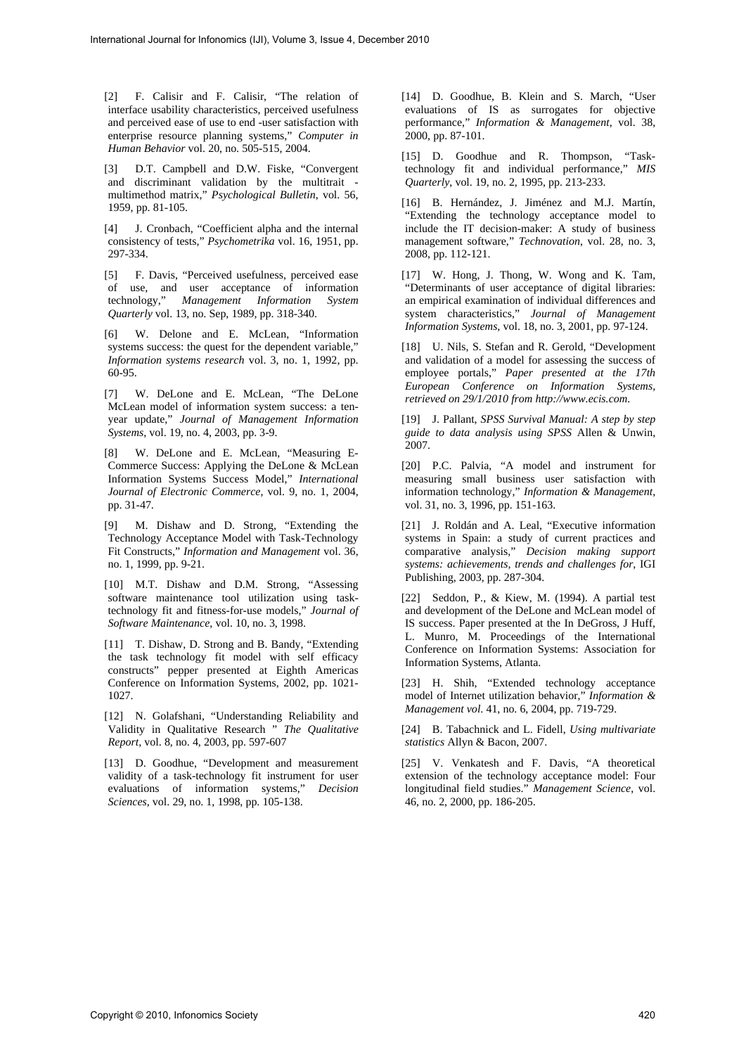[2] F. Calisir and F. Calisir, "The relation of interface usability characteristics, perceived usefulness and perceived ease of use to end -user satisfaction with enterprise resource planning systems," *Computer in Human Behavior* vol. 20, no. 505-515, 2004.

[3] D.T. Campbell and D.W. Fiske, "Convergent and discriminant validation by the multitrait multimethod matrix," *Psychological Bulletin*, vol. 56, 1959, pp. 81-105.

[4] J. Cronbach, "Coefficient alpha and the internal consistency of tests," *Psychometrika* vol. 16, 1951, pp. 297-334.

[5] F. Davis, "Perceived usefulness, perceived ease of use, and user acceptance of information technology," *Management Information System Quarterly* vol. 13, no. Sep, 1989, pp. 318-340.

[6] W. Delone and E. McLean, "Information systems success: the quest for the dependent variable," *Information systems research* vol. 3, no. 1, 1992, pp. 60-95.

[7] W. DeLone and E. McLean, "The DeLone McLean model of information system success: a tenyear update," *Journal of Management Information Systems*, vol. 19, no. 4, 2003, pp. 3-9.

W. DeLone and E. McLean, "Measuring E-Commerce Success: Applying the DeLone & McLean Information Systems Success Model," *International Journal of Electronic Commerce*, vol. 9, no. 1, 2004, pp. 31-47.

[9] M. Dishaw and D. Strong, "Extending the Technology Acceptance Model with Task-Technology Fit Constructs," *Information and Management* vol. 36, no. 1, 1999, pp. 9-21.

[10] M.T. Dishaw and D.M. Strong, "Assessing software maintenance tool utilization using tasktechnology fit and fitness-for-use models," *Journal of Software Maintenance*, vol. 10, no. 3, 1998.

[11] T. Dishaw, D. Strong and B. Bandy, "Extending the task technology fit model with self efficacy constructs" pepper presented at Eighth Americas Conference on Information Systems, 2002, pp. 1021- 1027.

[12] N. Golafshani, "Understanding Reliability and Validity in Qualitative Research " *The Qualitative Report*, vol. 8, no. 4, 2003, pp. 597-607

[13] D. Goodhue, "Development and measurement validity of a task-technology fit instrument for user evaluations of information systems," *Decision Sciences*, vol. 29, no. 1, 1998, pp. 105-138.

[14] D. Goodhue, B. Klein and S. March, "User evaluations of IS as surrogates for objective performance," *Information & Management*, vol. 38, 2000, pp. 87-101.

[15] D. Goodhue and R. Thompson, "Tasktechnology fit and individual performance," *MIS Quarterly*, vol. 19, no. 2, 1995, pp. 213-233.

[16] B. Hernández, J. Jiménez and M.J. Martín, "Extending the technology acceptance model to include the IT decision-maker: A study of business management software," *Technovation*, vol. 28, no. 3, 2008, pp. 112-121.

[17] W. Hong, J. Thong, W. Wong and K. Tam, "Determinants of user acceptance of digital libraries: an empirical examination of individual differences and system characteristics," *Journal of Management Information Systems*, vol. 18, no. 3, 2001, pp. 97-124.

[18] U. Nils, S. Stefan and R. Gerold, "Development and validation of a model for assessing the success of employee portals," *Paper presented at the 17th European Conference on Information Systems, retrieved on 29/1/2010 from http://www.ecis.com*.

[19] J. Pallant, *SPSS Survival Manual: A step by step guide to data analysis using SPSS* Allen & Unwin, 2007.

[20] P.C. Palvia, "A model and instrument for measuring small business user satisfaction with information technology," *Information & Management*, vol. 31, no. 3, 1996, pp. 151-163.

[21] J. Roldán and A. Leal, "Executive information systems in Spain: a study of current practices and comparative analysis," *Decision making support systems: achievements, trends and challenges for*, IGI Publishing, 2003, pp. 287-304.

[22] Seddon, P., & Kiew, M. (1994). A partial test and development of the DeLone and McLean model of IS success. Paper presented at the In DeGross, J Huff, L. Munro, M. Proceedings of the International Conference on Information Systems: Association for Information Systems, Atlanta.

[23] H. Shih, "Extended technology acceptance model of Internet utilization behavior," *Information & Management vol*. 41, no. 6, 2004, pp. 719-729.

[24] B. Tabachnick and L. Fidell, *Using multivariate statistics* Allyn & Bacon, 2007.

[25] V. Venkatesh and F. Davis, "A theoretical extension of the technology acceptance model: Four longitudinal field studies." *Management Science*, vol. 46, no. 2, 2000, pp. 186-205.